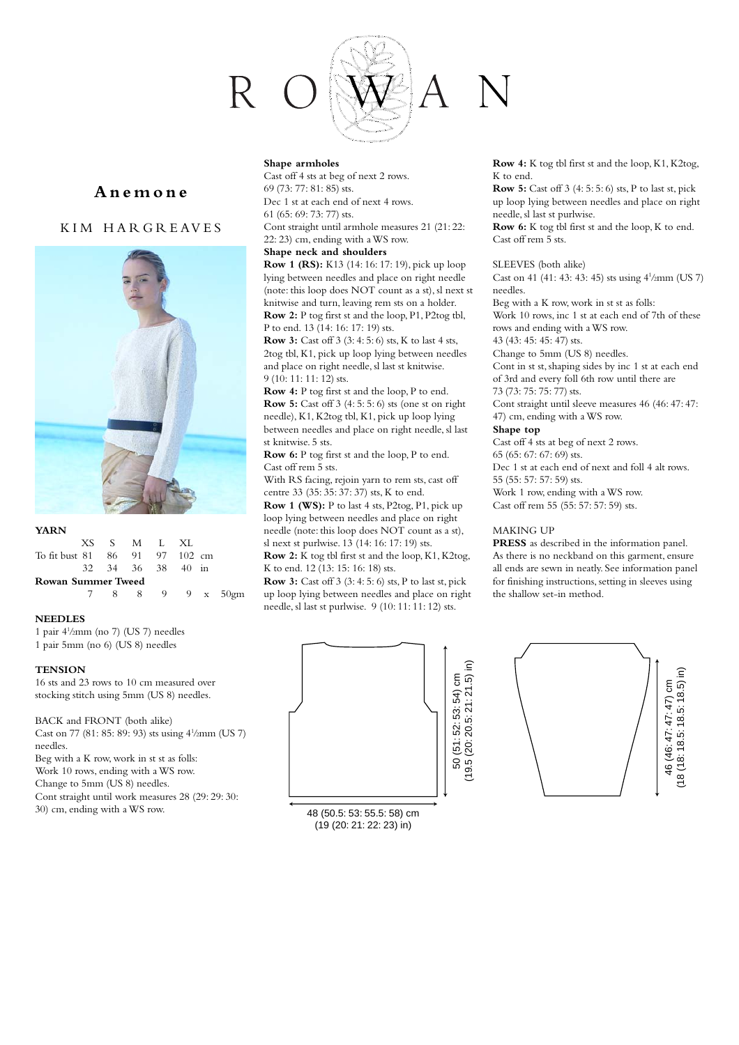

# **Anemone**

# KIM HARGREAVES



### **YARN**

|                                | XS S M L XL       |  |  |  |  |                  |  |  |  |  |  |
|--------------------------------|-------------------|--|--|--|--|------------------|--|--|--|--|--|
| To fit bust 81 86 91 97 102 cm |                   |  |  |  |  |                  |  |  |  |  |  |
|                                | 32 34 36 38 40 in |  |  |  |  |                  |  |  |  |  |  |
| Rowan Summer Tweed             |                   |  |  |  |  |                  |  |  |  |  |  |
|                                |                   |  |  |  |  | 7 8 8 9 9 x 50gm |  |  |  |  |  |
|                                |                   |  |  |  |  |                  |  |  |  |  |  |

## **NEEDLES**

1 pair 41 /2mm (no 7) (US 7) needles 1 pair 5mm (no 6) (US 8) needles

**TENSION**

16 sts and 23 rows to 10 cm measured over stocking stitch using 5mm (US 8) needles.

BACK and FRONT (both alike) Cast on 77 (81: 85: 89: 93) sts using 4<sup>1</sup>/2mm (US 7) needles.

Beg with a K row, work in st st as folls: Work 10 rows, ending with a WS row. Change to 5mm (US 8) needles. Cont straight until work measures 28 (29: 29: 30:

30) cm, ending with a WS row.

#### **Shape armholes**

Cast off 4 sts at beg of next 2 rows. 69 (73: 77: 81: 85) sts. Dec 1 st at each end of next 4 rows. 61 (65: 69: 73: 77) sts. Cont straight until armhole measures 21 (21: 22: 22: 23) cm, ending with a WS row.

## **Shape neck and shoulders**

**Row 1 (RS):** K13 (14: 16: 17: 19), pick up loop lying between needles and place on right needle (note: this loop does NOT count as a st), sl next st knitwise and turn, leaving rem sts on a holder. **Row 2:** P tog first st and the loop, P1, P2tog tbl, P to end. 13 (14: 16: 17: 19) sts.

**Row 3:** Cast off 3 (3: 4: 5: 6) sts, K to last 4 sts, 2tog tbl, K1, pick up loop lying between needles and place on right needle, sl last st knitwise. 9 (10: 11: 11: 12) sts.

**Row 4:** P tog first st and the loop, P to end. **Row 5:** Cast off 3 (4: 5: 5: 6) sts (one st on right needle), K1, K2tog tbl, K1, pick up loop lying between needles and place on right needle, sl last st knitwise. 5 sts.

**Row 6:** P tog first st and the loop, P to end. Cast off rem 5 sts.

With RS facing, rejoin yarn to rem sts, cast off centre 33 (35: 35: 37: 37) sts, K to end.

**Row 1 (WS):** P to last 4 sts, P2tog, P1, pick up loop lying between needles and place on right needle (note: this loop does NOT count as a st), sl next st purlwise. 13 (14: 16: 17: 19) sts.

**Row 2:** K tog tbl first st and the loop, K1, K2tog, K to end. 12 (13: 15: 16: 18) sts.

**Row 3:** Cast off 3 (3: 4: 5: 6) sts, P to last st, pick up loop lying between needles and place on right needle, sl last st purlwise.  $9(10:11:11:12)$  sts.



48 (50.5: 53: 55.5: 58) cm (19 (20: 21: 22: 23) in)

**Row 4:** K tog tbl first st and the loop, K1, K2tog, K to end.

**Row 5:** Cast off 3 (4: 5: 5: 6) sts, P to last st, pick up loop lying between needles and place on right needle, sl last st purlwise.

**Row 6:** K tog tbl first st and the loop, K to end. Cast off rem 5 sts.

### SLEEVES (both alike)

Cast on 41 (41: 43: 43: 45) sts using 41 /2mm (US 7) needles.

Beg with a K row, work in st st as folls:

Work 10 rows, inc 1 st at each end of 7th of these rows and ending with a WS row.

43 (43: 45: 45: 47) sts. Change to 5mm (US 8) needles.

Cont in st st, shaping sides by inc 1 st at each end of 3rd and every foll 6th row until there are 73 (73: 75: 75: 77) sts.

Cont straight until sleeve measures 46 (46: 47: 47: 47) cm, ending with a WS row.

### **Shape top**

Cast off 4 sts at beg of next 2 rows. 65 (65: 67: 67: 69) sts.

Dec 1 st at each end of next and foll 4 alt rows. 55 (55: 57: 57: 59) sts.

Work 1 row, ending with a WS row. Cast off rem 55 (55: 57: 57: 59) sts.

### MAKING UP

**PRESS** as described in the information panel. As there is no neckband on this garment, ensure all ends are sewn in neatly. See information panel for finishing instructions, setting in sleeves using the shallow set-in method.